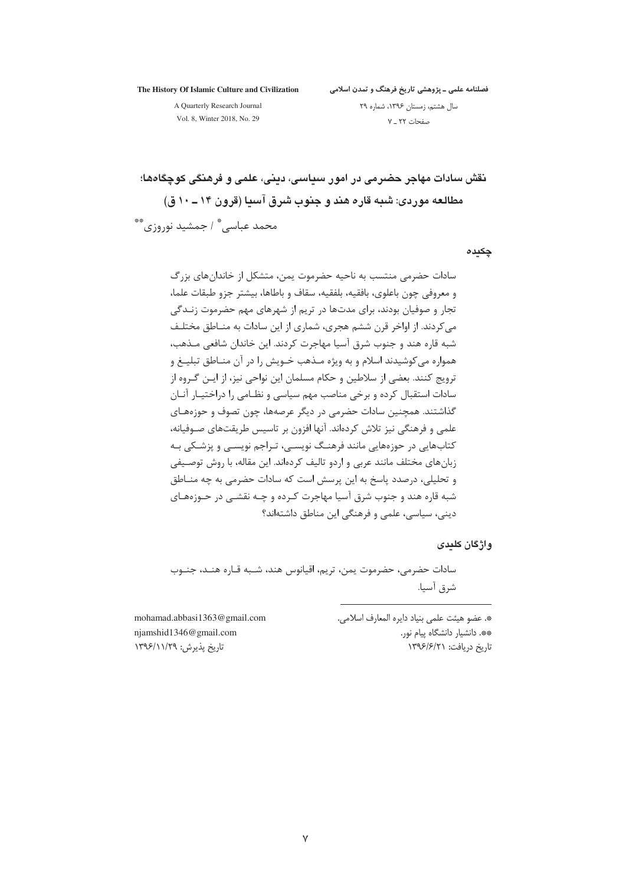The History Of Islamic Culture and Civilization

فصلنامه علمی ــ پژوهشی تاریخ فرهنگ و تمدن اسلامی

A Quarterly Research Journal Vol. 8, Winter 2018, No. 29

سال هشتم، زمستان ۱۳۹۶، شماره ۲۹ صفحات ٢٢ ـ ٧

نقش سادات مهاجر حضرمی در امور سداسی، دینی، علمی و فرهنگی کوچگاهها؛ مطالعه موردی: شبه قاره هند و جنوب شرق آسیا (قرون ۱۴ ــ ۱۰ ق) محمد عباسے ؓ / جمشید نوروزی ؓ

#### چکیدہ

سادات حضرمی منتسب به ناحیه حضرموت یمن، متشکل از خاندانهای بزرگ و معروفي چون باعلوي، بافقيه، بلفقيه، سقاف و باطاها، بيشتر جزو طبقات علما، تجار و صوفیان بودند، برای مدتها در تریم از شهرهای مهم حضرموت زنــدگی می کردند. از اواخر قرن ششم هجری، شماری از این سادات به منـاطق مختلـف شبه قاره هند و جنوب شرق آسیا مهاجرت کردند. این خاندان شافعی مـذهب، همواره میکوشیدند اسلام و به ویژه مـذهب خـویش را در آن منـاطق تبلیــغ و ۔<br>ترویج کنند. بعضی از سلاطین و حکام مسلمان این نواحی نیز، از ایـن گـروه از سادات استقبال كرده و برخي مناصب مهم سياسي و نظـامي را دراختيـار آنـان گذاشتند. همچنین سادات حضرمی در دیگر عرصهها، چون تصوف و حوزههـای علمی و فرهنگی نیز تلاش کردهاند. آنها افزون بر تاسیس طریقتهای صـوفیانه، کتابهایی در حوزههایی مانند فرهنگ نویسـی، تـراجم نویسـی و پزشـکی بـه زبانهای مختلف مانند عربی و اردو تالیف کردهاند. این مقاله، با روش توصیفی و تحلیلی، درصدد پاسخ به این پرسش است که سادات حضرمی به چه منـاطق شبه قاره هند و جنوب شرق آسیا مهاجرت کـرده و چـه نقشـی در حـوزههـای دینے، سیاسے، علمی و فرهنگے این مناطق داشتهاند؟

### واژگان کلیدی

سادات حضرمی، حضرموت یمن، تریم، اقیانوس هند، شـبه قـاره هنـد، جنـوب شرق آسيا.

> \*. عضو هيئت علمي بنياد دايره المعارف اسلامي. \*\*. دانشیار دانشگاه پیام نور. تاریخ دریافت: ۱۳۹۶/۶/۲۱

mohamad.abbasi1363@gmail.com niamshid1346@gmail.com تاریخ پذیرش: ۱۳۹۶/۱۱/۲۹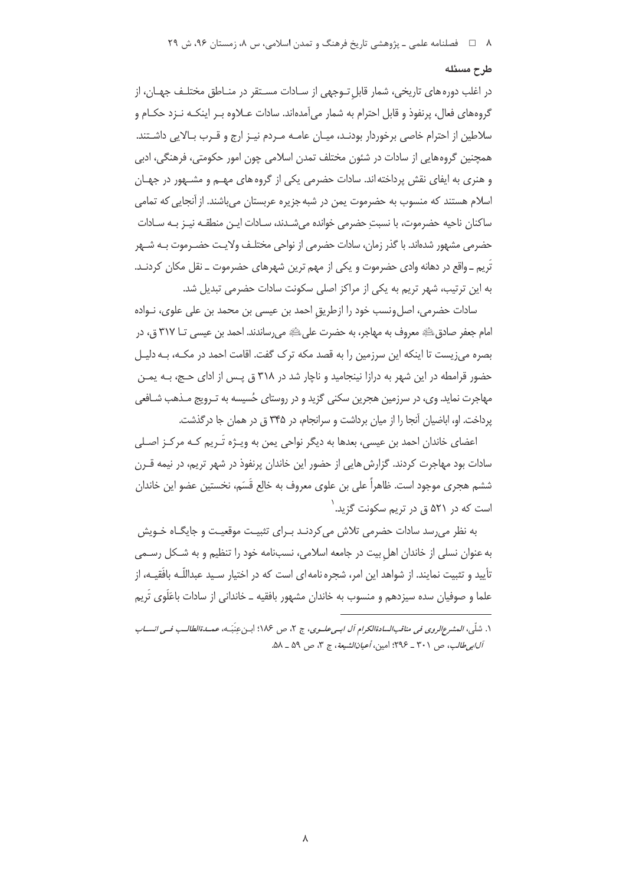## طرح مسئله

در اغلب دوره های تاریخی، شمار قابل تـوجهی از سـادات مسـتقر در منـاطق مختلـف جهـان، از گروههای فعال، پرنفوذ و قابل احترام به شمار می آمدهاند. سادات عــلاوه بــر اینکـه نــزد حکــام و سلاطین از احترام خاصی برخوردار بودنـد، میـان عامـه مـردم نیـز ارج و قـرب بـالایی داشـتند. همچنین گروههایی از سادات در شئون مختلف تمدن اسلامی چون امور حکومتی، فرهنگی، ادبی و هنري به ايفاي نقش پرداخته اند. سادات حضرمي يکي از گروه هاي مهــم و مشــهور در جهـان اسلام هستند که منسوب به حضرموت یمن در شبه جزیره عربستان می،باشند. از آنجایی که تمامی ساكنان ناحيه حضرموت، با نسبتِ حضرمي خوانده ميشـدند، سـادات ايـن منطقـه نيـز بـه سـادات حضرمی مشهور شدهاند. با گذر زمان، سادات حضرمی از نواحی مختلـف ولایـت حضـرموت بـه شـهر تُرِيم ـ واقع در دهانه وادي حضرموت و يكي از مهم ترين شهرهاي حضرموت ــ نقل مكان كردنـد. به این ترتیب، شهر تریم به یکی از مراکز اصلی سکونت سادات حضرمی تبدیل شد.

سادات حضرمی، اصل ونسب خود را ازطریق احمد بن عیسی بن محمد بن علی علوی، نـواده امام جعفر صادق ﷺ معروف به مهاجر، به حضرت على ﷺ مى رساندند. احمد بن عيسى تــا ٣١٧ ق، در بصره می;نیست تا اینکه این سرزمین را به قصد مکه ترک گفت. اقامت احمد در مکـه، بـه دلیـل حضور قرامطه در این شهر به درازا نینجامید و ناچار شد در ۳۱۸ ق پـس از ادای حـج، بـه یمـن مهاجرت نماید. وی، در سرزمین هجرین سکنی گزید و در روستای حُسیسه به تـرویج مـذهب شـافعی یرداخت. او، اباضیان آنجا را از میان برداشت و سرانجام، در ۳۴۵ ق در همان جا درگذشت.

اعضای خاندان احمد بن عیسی، بعدها به دیگر نواحی یمن به ویـژه تـُریم کـه مرکـز اصـلی سادات بود مهاجرت کردند. گزارش هایی از حضور این خاندان پرنفوذ در شهر تریم، در نیمه قــرن ششم هجري موجود است. ظاهراً على بن علوي معروف به خالع قَسَم، نخستين عضو اين خاندان است که در ۵۲۱ ق در تریم سکونت گزی*د*.<sup>(</sup>

به نظر می٫سد سادات حضرمی تلاش می کردنـد بـرای تثبیـت موقعیـت و جایگـاه خـویش به عنوان نسلی از خاندان اهل بیت در جامعه اسلامی، نسبنامه خود را تنظیم و به شـكل رسـمی تأیید و تثبیت نمایند. از شواهد این امر، شجره نامه ای است که در اختیار سـید عبداللّـه بافَقیـه، از علما و صوفیان سده سیزدهم و منسوب به خاندان مشهور بافقیه ــ خاندانی از سادات باعَلَوی تَریم

۱. شلّه ، العشير *ع<sub>ا</sub>لروي في مناقب السادةالكرام آل اب عليوي*، ج ۲، ص ۱۸۶؛ ابن عنَهَـه، عص*ـدةالطالب فيه انسساب* آلابي طالب، ص ٣٠١ \_ ٢٩٤؛ امين، أعيانالشيعة، ج ٣، ص ٥٩ \_ ٥٨.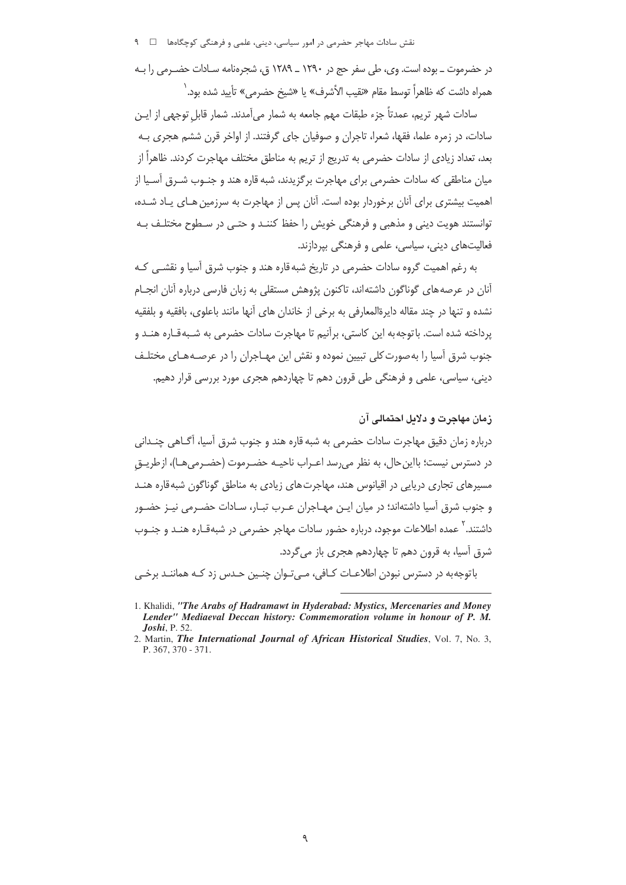در حضرموت ـ بوده است. وي، طي سفر حج در ١٢٩٠ ـ ١٢٨٩ ق، شجرهنامه سـادات حضـرمي را بـه همراه داشت كه ظاهراً توسط مقام «نقيب الأشرف» يا «شيخ حضرمے» تأييد شده بود. <sup>(</sup>

سادات شهر تريم، عمدتاً جزء طبقات مهم جامعه به شمار مے آمدند. شمار قابل توجهي از ايـن سادات، در زمره علما، فقها، شعرا، تاجران و صوفیان جای گرفتند. از اواخر قرن ششم هجری بـه بعد، تعداد زیادی از سادات حضرمی به تدریج از تریم به مناطق مختلف مهاجرت کردند. ظاهراً از مبان مناطقی که سادات حضرمی برای مهاجرت برگزیدند، شبه قاره هند و حنـوب شـرق آسـبا از اهمیت بیشتری برای آنان برخوردار بوده است. آنان پس از مهاجرت به سرزمین هـای پـاد شـده، توانستند هويت ديني و مذهبي و فرهنگي خويش را حفظ كننـد و حتـي در سـطوح مختلـف بـه فعالیتهای دینی، سیاسی، علمی و فرهنگی بپردازند.

به رغم اهمیت گروه سادات حضرمی در تاریخ شبه قاره هند و جنوب شرق آسیا و نقشـی کـه آنان در عرصه های گوناگون داشته اند، تاکنون پژوهش مستقلی به زبان فارسی درباره آنان انجــام نشده و تنها در چند مقاله دایرةالمعارفی به برخی از خاندان های آنها مانند باعلوی، بافقیه و بلفقیه برداخته شده است. باتوجه به این کاستی، برآنیم تا مهاجرت سادات حضرمی به شـبهقـاره هنـد و جنوب شرق آسیا را به صورت کلی تبیین نموده و نقش این مهـاجران را در عرصـههـای مختلـف دینی، سیاسی، علمی و فرهنگی طی قرون دهم تا چهاردهم هجری مورد بررسی قرار دهیم.

زمان مهاجرت و دلایل احتمالی آن

درباره زمان دقيق مهاجرت سادات حضرمي به شبه قاره هند و جنوب شرق آسيا، آگــاهي چنــداني در دسترس نیست؛ بااین حال، به نظر می رسد اعـراب ناحیـه حضـرموت (حضـرمی هـا)، از طریـق مسیرهای تجاری دریایی در اقیانوس هند، مهاجرتهای زیادی به مناطق گوناگون شبه قاره هنــد و جنوب شرق آسیا داشتهاند؛ در میان ایـن مهـاجران عـرب تبـار، سـادات حضـرمی نیـز حضـور داشتند. <sup>۲</sup> عمده اطلاعات موجود، درباره حضور سادات مهاجر حضرمی در شبهقـاره هنـد و جنـوب شرق آسيا، به قرون دهم تا چهاردهم هجري باز مي گردد.

باتوجه به در دسترس نبودن اطلاعـات كــافي، مــي تـوان چنــين حــدس زد كــه هماننــد برخـي

<sup>1.</sup> Khalidi, "The Arabs of Hadramawt in Hyderabad: Mystics, Mercenaries and Money Lender" Mediaeval Deccan history: Commemoration volume in honour of P. M. **Joshi**, P. 52.

<sup>2.</sup> Martin, The International Journal of African Historical Studies, Vol. 7, No. 3, P. 367, 370 - 371.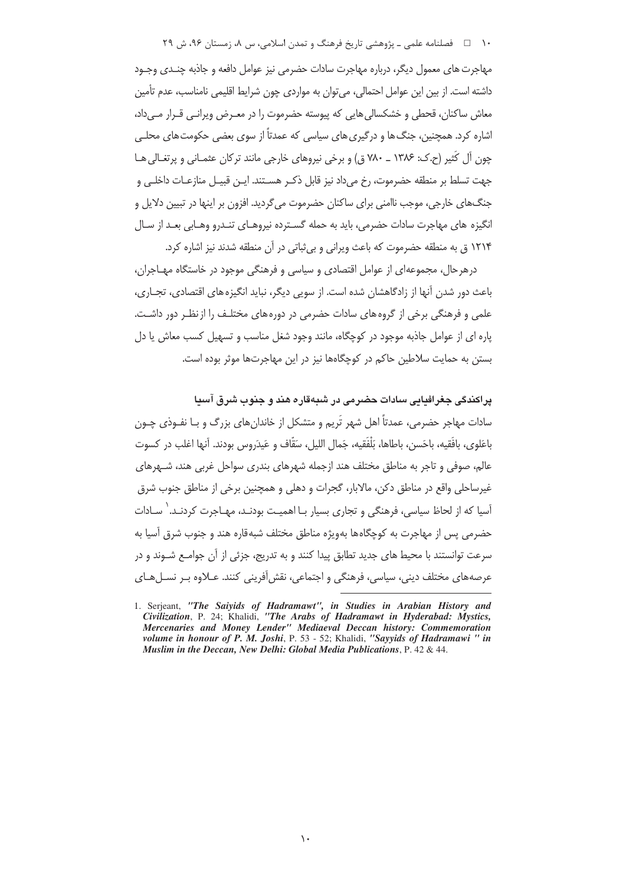۱۰ = □ فصلنامه علمی ـ پژوهشی تاریخ فرهنگ و تمدن اسلامی، س ۸، زمستان ۹۶، ش ۲۹

مهاجرت های معمول دیگر، درباره مهاجرت سادات حضرمی نیز عوامل دافعه و جاذبه چنـدی وجـود داشته است. از بین این عوامل احتمالی، می توان به مواردی چون شرایط اقلیمی نامناسب، عدم تأمین معاش ساکنان، قحطی و خشکسالی هایی که پیوسته حضرموت را در معـرض ویرانـی قـرار مـی داد، اشاره کرد. همچنین، جنگ ها و درگیری های سیاسی که عمدتاً از سوی بعضی حکومت های محلـی چون آل کَثیر (ح.ک: ۱۳۸۶ ـ ۷۸۰ ق) و برخی نیروهای خارجی مانند ترکان عثمـانی و پرتغـالی هـا جهت تسلط بر منطقه حضرموت، رخ می١دد نیز قابل ذکـر هسـتند. ایـن قبیـل منازعـات داخلـی و جنگھای خارجی، موجب ناامنی برای ساکنان حضرموت می گردید. افزون بر اینها در تبیین دلایل و انگیزه های مهاجرت سادات حضرمی، باید به حمله گسـترده نیروهـای تنـدرو وهـابی بعـد از سـال ۱۲۱۴ ق به منطقه حضرموت که باعث ویرانی و بی ثباتی در آن منطقه شدند نیز اشاره کرد.

درهرحال، مجموعهای از عوامل اقتصادی و سیاسی و فرهنگی موجود در خاستگاه مهـاجران، باعث دور شدن آنها از زادگاهشان شده است. از سویی دیگر، نباید انگیزه های اقتصادی، تجـاری، علمی و فرهنگی برخی از گروه های سادات حضرمی در دوره های مختلـف را از نظـر دور داشـت. یاره ای از عوامل جاذبه موجود در کوچگاه، مانند وجود شغل مناسب و تسهیل کسب معاش یا دل بستن به حمایت سلاطین حاکم در کوچگاهها نیز در این مهاجرتها موثر بوده است.

يراكندگي جغرافدايي سادات حضرمي در شبهقاره هند و جنوب شرق آسدا

سادات مهاجر حضرمی، عمدتاً اهل شهر تَریم و متشکل از خاندانِهای بزرگ و بـا نفـوذی چـون باعَلوي، بافَقيه، باحَسن، باطاها، بَلْفَقيه، جَمال الليل، سَقَّاف و عَيدَروس بودند. آنها اغلب در كسوت عالم، صوفی و تاجر به مناطق مختلف هند ازجمله شهرهای بندری سواحل غربی هند، شـهرهای غیرساحلی واقع در مناطق دکن، مالابار، گجرات و دهلی و همچنین برخی از مناطق جنوب شرق آسیا که از لحاظ سیاسی، فرهنگی و تجاری بسیار بـا اهمیـت بودنـد، مهـاجرت کردنـد. ٰ سـادات حضرمي پس از مهاجرت به كوچگاهها بهويژه مناطق مختلف شبهقاره هند و جنوب شرق آسيا به سرعت توانستند با محیط های جدید تطابق پیدا کنند و به تدریج، جزئی از آن جوامـع شـوند و در عرصههای مختلف دینی، سیاسی، فرهنگی و اجتماعی، نقش آفرینی کنند. عـلاوه بـر نســلهـای

<sup>1.</sup> Serjeant, "The Saiyids of Hadramawt", in Studies in Arabian History and Civilization, P. 24; Khalidi, "The Arabs of Hadramawt in Hyderabad: Mystics, Mercenaries and Money Lender" Mediaeval Deccan history: Commemoration volume in honour of P. M. Joshi, P. 53 - 52; Khalidi, "Sayyids of Hadramawi " in Muslim in the Deccan, New Delhi: Global Media Publications, P. 42 & 44.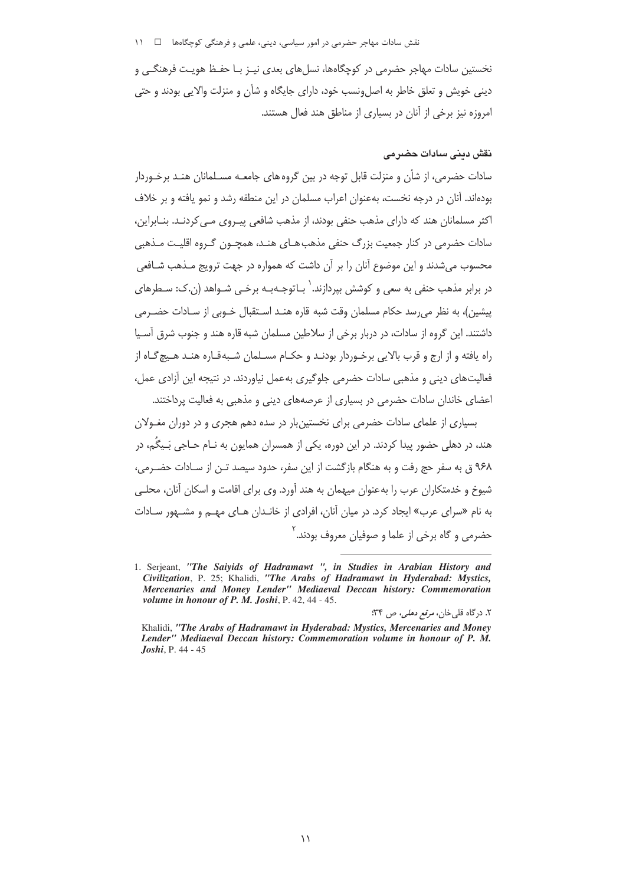## نقش سادات مهاجر حضرمی در امور سیاسی، دینی، علمی و فرهنگی کوچگاهها ۔ □ 11

نخستین سادات مهاجر حضرمی در کوچگاهها، نسلهای بعدی نیـز بـا حفـظ هویـت فرهنگـی و دینی خویش و تعلق خاطر به اصلeنسب خود، دارای جایگاه و شأن و منزلت والایی بودند و حتی امروزه نیز برخی از آنان در بسیاری از مناطق هند فعال هستند.

# نقش دینے سادات حضر مے

سادات حضرمی، از شأن و منزلت قابل توجه در بین گروه های جامعـه مسـلمانان هنـد برخـوردار بودهاند. آنان در درجه نخست، بهعنوان اعراب مسلمان در این منطقه رشد و نمو یافته و بر خلاف اکثر مسلمانان هند که دارای مذهب حنفی بودند، از مذهب شافعی پیـروی مـی کردنـد. بنـابراین، سادات حضرمی در کنار جمعیت بزرگ حنفی مذهب هـای هنـد، همچـون گـروه اقلیـت مـذهبی محسوب میشدند و این موضوع آنان را بر آن داشت که همواره در جهت ترویج مـذهب شـافعی در برابر مذهب حنفي به سعي و كوشش بيردازند. <sup>(</sup> بـاتوجـه بـه برخـي شـواهد (ن.ک: سـطرهاي پیشین)، به نظر می رسد حکام مسلمان وقت شبه قاره هنـد اسـتقبال خـوبی از سـادات حضـرمی داشتند. این گروه از سادات، در دربار برخی از سلاطین مسلمان شبه قاره هند و جنوب شرق آسـیا راه یافته و از ارج و قرب بالایی برخـوردار بودنـد و حکـام مسـلمان شـبهقـاره هنـد هـیچ گـاه از فعالیت های دینی و مذهبی سادات حضرمی جلوگیری به عمل نیاوردند. در نتیجه این آزادی عمل، اعضای خاندان سادات حضرمی در بسیاری از عرصههای دینی و مذهبی به فعالیت پرداختند.

بسیاری از علمای سادات حضرمی برای نخستین بار در سده دهم هجری و در دوران مغـولان هند، در دهلی حضور پیدا کردند. در این دوره، یکی از همسران همایون به نـام حـاجی بَـیگُم، در ۹۶۸ ق به سفر حج رفت و به هنگام بازگشت از این سفر، حدود سیصد تـن از سـادات حضـرمی، شیوخ و خدمتکاران عرب را به عنوان میهمان به هند آورد. وی برای اقامت و اسکان آنان، محلـی به نام «سرای عرب» ایجاد کرد. در میان آنان، افرادی از خانـدان هـای مهـم و مشـهور سـادات حضرمی و گاه برخی از علما و صوفیان معروف بودند.<sup>۲</sup>

۲. درگاه قلبیخان، *مرقع دهلی، ص* ۳۴؛

<sup>1.</sup> Serjeant, "The Saiyids of Hadramawt ", in Studies in Arabian History and Civilization, P. 25; Khalidi, "The Arabs of Hadramawt in Hyderabad: Mystics, Mercenaries and Money Lender" Mediaeval Deccan history: Commemoration volume in honour of P. M. Joshi, P. 42, 44 - 45.

Khalidi, "The Arabs of Hadramawt in Hyderabad: Mystics, Mercenaries and Money Lender" Mediaeval Deccan history: Commemoration volume in honour of P. M. **Joshi**, P. 44 - 45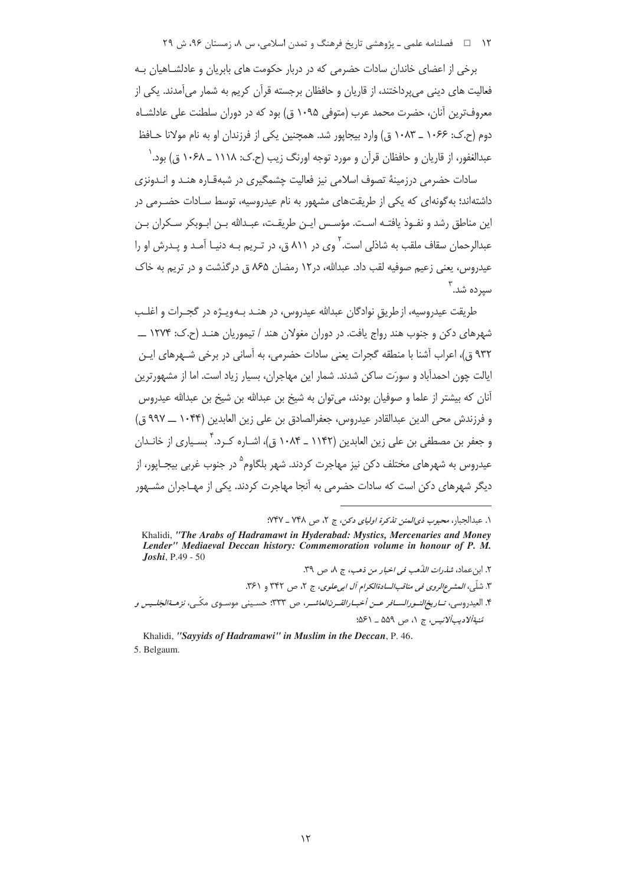۱۲ = = فصلنامه علمی ـ یژوهشی تاریخ فرهنگ و تمدن اسلامی، س ۸، زمستان ۹۶، ش ۲۹

برخی از اعضای خاندان سادات حضرمی که در دربار حکومت های بابریان و عادلشـاهیان بـه فعالیت های دینی می پرداختند، از قاریان و حافظان برجسته قرآن کریم به شمار می آمدند. یکی از معروفترین آنان، حضرت محمد عرب (متوفی ۱۰۹۵ ق) بود که در دوران سلطنت علی عادلشـاه دوم (ح.ک: ۱۰۶۶ \_ ۱۰۸۳ ق) وارد بيجاپور شد. همچنين يکي از فرزندان او به نام مولانا حـافظ عبدالغفور، از قاریان و حافظان قرآن و مورد توجه اورنگ زیب (ح.ک: ۱۱۱۸ ـ ۱۰۶۸ ق) بود. ٰ

سادات حضرمی درزمینهٔ تصوف اسلامی نیز فعالیت حشمگیری در شیهقیاره هنید و انیدونزی داشتهاند؛ به گونهای که یکی از طریقتهای مشهور به نام عیدروسیه، توسط سـادات حضـرمی در این مناطق رشد و نفـوذ یافتـه اسـت. مؤسـس ایـن طریقـت، عبـدالله بـن ابـوبکر سـکران بـن عبدالرحمان سقاف ملقب به شاذلی است. <sup>۲</sup> وی در ۸۱۱ ق، در تـریم بـه دنیـا آمـد و پـدرش او را عیدروس، یعنی زعیم صوفیه لقب داد. عبدالله، در ۱۲ رمضان ۷۶۵ ق در گذشت و در تریم به خاک سیرده شد. ۳

طريقت عيدروسيه، از طريق نوادگان عبدالله عيدروس، در هنـد بـهويـژه در گجـرات و اغلـب شهرهای دکن و چنوب هند رواج یافت. در دوران مغولان هند / تیموریان هنـد (ح.ک: ۱۲۷۴ ـــ ۹۳۲ ق)، اعراب آشنا با منطقه گجرات یعنی سادات حضرمی، به آسانی در برخی شـهرهای ایـن ايالت چون احمدآباد و سورَت ساكن شدند. شمار اين مهاجران، بسيار زياد است. اما از مشهورترين آنان که بیشتر از علما و صوفیان بودند، میتوان به شیخ بن عبدالله بن شیخ بن عبدالله عیدروس و فرزندش محى الدين عبدالقادر عيدروس، جعفرالصادق بن على زين العابدين (١٠۴۴ ـــ ٩٩٧ ق) و جعفر بن مصطفى بن على زين العابدين (١١۴٢ ـ ١٠٨۴ ق)، اشــاره كــرد. ` بســياري از خانــدان عیدروس به شهرهای مختلف دکن نیز مهاجرت کردند. شهر بلگاوم<sup>۵</sup> در جنوب غربی بیجـاپور، از دیگر شهرهای دکن است که سادات حضرمی به آنجا مهاجرت کردند. یکی از مهـاجران مشــهور

Khalidi, "Sayyids of Hadramawi" in Muslim in the Deccan, P. 46. 5. Belgaum.

١. عبدالجبار، محب*وب ذي المنن تذكرة اولياي دكن،* ج ٢، ص ٧٤٨ ـ ٧٤٧:

Khalidi, "The Arabs of Hadramawt in Hyderabad: Mystics, Mercenaries and Money Lender" Mediaeval Deccan history: Commemoration volume in honour of P. M. **Joshi**, P.49 - 50

٢. ابن عماد، *شذرات الذّهب في اخبار من ذهب، ج* ٨، ص ٣٩. ۳. شلّی، *المشرع الروی فی مناقب السادة الکرام آل ابی علوی*، ج ۲، ص ۳۴۲ و ۳۶۱. ۴. العيدروسي، *تــاريخ النــورالســافر عــن أخبــارالقــرنالعاشــر*، ص ۳۳۳: حسـيني موسـوى مكّـى، *نزهــةالجَلــيس و* تَسْتَأَلَادِيبَأَلاَنِيسِ، ج ١، ص ۵۵۹ \_ ۵۶۱: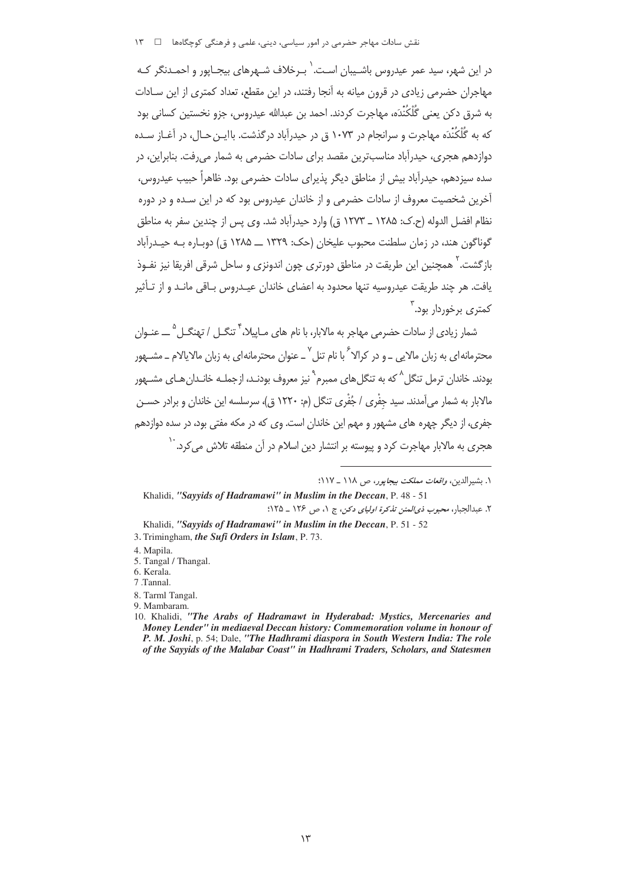نقش سادات مهاجر حضرمی در امور سیاسی، دینی، علمی و فرهنگی کوچگاهها → 1۳

در این شهر، سید عمر عبدروس باشـیبان اسـت. ٰ پـرخلاف شـهرهای پیچـایور و احمـدنگر کـه مهاجران حضرمی زیادی در قرون میانه به آنجا رفتند، در این مقطع، تعداد کمتری از این سـادات به شرق دکن بعنی گُلْکُنْدَه، مهاجرت کردند. احمد بن عبدالله عبدروس، جزو نخستین کسانی بود که به گُلُکُنْدَه مهاجرت و سرانجام در ۱۰۷۳ ق در حیدرآباد درگذشت. باایـن حـال، در آغـاز سـده دوازدهم هجری، حیدرآباد مناسبترین مقصد برای سادات حضرمی به شمار میرفت. بنابراین، در سده سیزدهم، حیدرآباد بیش از مناطق دیگر پذیرای سادات حضرمی بود. ظاهراً حبیب عیدروس، آخرین شخصیت معروف از سادات حضرمی و از خاندان عیدروس بود که در این سـده و در دوره نظام افضل الدوله (ح.ک: ۱۲۸۵ \_ ۱۲۷۳ ق) وارد حيدرآباد شد. وي پس از چندين سفر به مناطق گوناگون هند، در زمان سلطنت محبوب علیخان (حک: ۱۳۲۹ ــ ۱۲۸۵ ق) دوبـاره بـه حیـدرآباد بازگشت.'ً همچنین این طریقت در مناطق دورتری چون اندونزی و ساحل شرقی افریقا نیز نفـوذ یافت. هر چند طریقت عیدروسیه تنها محدود به اعضای خاندان عیـدروس بـاقی مانـد و از تـأثیر کمتری پرخوردار بود. ۲

شمار زیادی از سادات حضرمی مهاجر به مالابار، با نام های مـاییلا، <sup>۴</sup> تنگــل / تهنگــل <sup>۵</sup> ــــ عنــوان محترمانه|ی به زبان مالایی ــ و در کرالا<sup>۶</sup> با نام تنل<sup>۷</sup> ــ عنوان محترمانه|ی به زبان مالایالام ــ مشـهور بودند. خاندان ترمل تنگل <sup>۸</sup> که به تنگل های ممبرم<sup>ه ب</sup>نز معروف بودنـد، ازجملـه خانـدان هـای مشــهور مالايار به شمار مر آمدند. سيد حفْري / حُفْري تنگل (م: ١٢٢٠ ق)، سرسلسه ابن خاندان و برادر حسـن جفري، از ديگر چهره هاي مشهور و مهم اين خاندان است. وي كه در مكه مفتي بود، در سده دوازدهم هجری به مالابار مهاجرت کرد و پیوسته بر انتشار دین اسلام در آن منطقه تلاش می *ک*رد. <sup>۱۰</sup>

١. يشيرالدين، واقعات مملكت بيجابور، ص ١١٨ \_ ١١٧:

Khalidi, "Sayyids of Hadramawi" in Muslim in the Deccan, P. 48 - 51 ٢. عبدالجبار، محبوب ذي المنن تذكرة اولياي دكن، ج ١، ص ١٢۶ \_ ١٢٥:

Khalidi, "Sayyids of Hadramawi" in Muslim in the Deccan, P. 51 - 52 3. Trimingham, the Sufi Orders in Islam, P. 73.

5. Tangal / Thangal.

- 8. Tarml Tangal.
- 9. Mambaram.

<sup>4.</sup> Mapila.

<sup>6.</sup> Kerala.

<sup>7</sup> Tannal.

<sup>10.</sup> Khalidi, "The Arabs of Hadramawt in Hyderabad: Mystics, Mercenaries and Money Lender" in mediaeval Deccan history: Commemoration volume in honour of P. M. Joshi, p. 54; Dale, "The Hadhrami diaspora in South Western India: The role of the Sayyids of the Malabar Coast" in Hadhrami Traders, Scholars, and Statesmen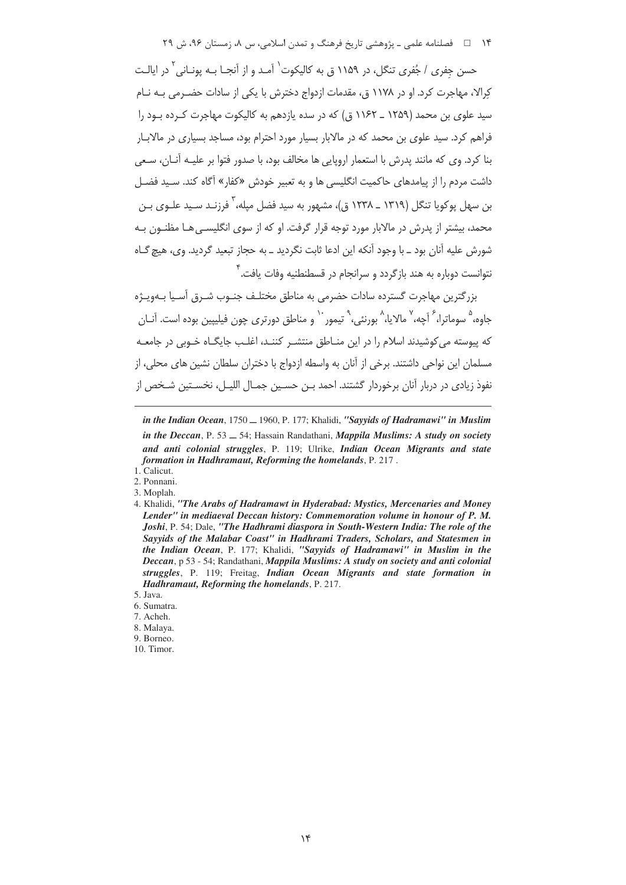۱۴ فصلنامه علمی ـ یژوهشی تاریخ فرهنگ و تمدن اسلامی، س ۸، زمستان ۹۶، ش ۲۹

حسن جفری / جُفری تنگل، در ۱۱۵۹ ق به کالیکوت<sup>٬</sup> آمـد و از آنحـا بـه یونـانی<sup>۲</sup> در ایالـت کرالا، مهاجرت کرد. او در ۱۱۷۸ ق، مقدمات ازدواج دخترش با یکی از سادات حضـرمی بـه نـام سید علوی بن محمد (۱۲۵۹ ـ ۱۱۶۲ ق) که در سده بازدهم به کالیکوت مهاجرت کـرده بـود را فراهم کرد. سید علوی بن محمد که در مالابار بسیار مورد احترام بود، مساجد بسیاری در مالابـار بنا کرد. وی که مانند پدرش با استعمار اروپایی ها مخالف بود، با صدور فتوا بر علیـه آنــان، سـعی داشت مردم را از پیامدهای حاکمیت انگلیسی ها و به تعبیر خودش «کفار» آگاه کند. سـید فضـل بن سهل یوکویا تنگل (۱۳۱۹ ــ ۱۲۳۸ ق)، مشهور به سید فضل میله، <sup>۲</sup> فرزنـد سـید علـوی بـن محمد، بیشتر از پدرش در مالابار مورد توجه قرار گرفت. او که از سوی انگلیسے ,هـا مظنـون بـه شورش عليه آنان بود ـ با وجود آنكه اين ادعا ثابت نگرديد ـ به حجاز تبعيد گرديد. وي، هيچ گــاه نتوانست دوباره به هند بازگردد و سرانجام در قسطنطنیه وفات یافت.<sup>۲</sup>

بزرگترین مهاجرت گسترده سادات حضرمی به مناطق مختلـف جنـوب شـرق آسـیا بـهویـژه جاوه، ° سوماترا، <sup>۶</sup> آچه، ′ مالایا، <sup>^</sup> بورن*ئی*، `` تیمور ` ` و مناطق دورتری چون فیلیپین بوده است. آنـان که پیوسته می کوشیدند اسلام را در این منـاطق منتشـر کننـد، اغلـب حایگـاه خـوبی در حامعـه مسلمان این نواحی داشتند. برخی از آنان به واسطه ازدواج با دختران سلطان نشین های محلی، از نفوذ زيادي در دربار آنان برخوردار گشتند. احمد بـن حسـين جمـال الليـل، نخسـتين شـخص از

9. Borneo. 10. Timor.

in the Indian Ocean, 1750 \_ 1960, P. 177; Khalidi, "Sayyids of Hadramawi" in Muslim in the Deccan, P. 53  $-$  54; Hassain Randathani, Mappila Muslims: A study on society and anti colonial struggles, P. 119; Ulrike, Indian Ocean Migrants and state formation in Hadhramaut, Reforming the homelands, P. 217.

<sup>1.</sup> Calicut.

<sup>2.</sup> Ponnani. 3. Moplah.

<sup>4.</sup> Khalidi, "The Arabs of Hadramawt in Hyderabad: Mystics, Mercenaries and Money Lender" in mediaeval Deccan history: Commemoration volume in honour of P. M. Joshi, P. 54; Dale, "The Hadhrami diaspora in South-Western India: The role of the Sayyids of the Malabar Coast" in Hadhrami Traders, Scholars, and Statesmen in the Indian Ocean, P. 177; Khalidi, "Sayyids of Hadramawi" in Muslim in the Deccan, p 53 - 54; Randathani, Mappila Muslims: A study on society and anti colonial struggles, P. 119; Freitag, Indian Ocean Migrants and state formation in **Hadhramaut, Reforming the homelands, P. 217.** 

<sup>5.</sup> Java.

<sup>6.</sup> Sumatra.

<sup>7.</sup> Acheh.

<sup>8.</sup> Malaya.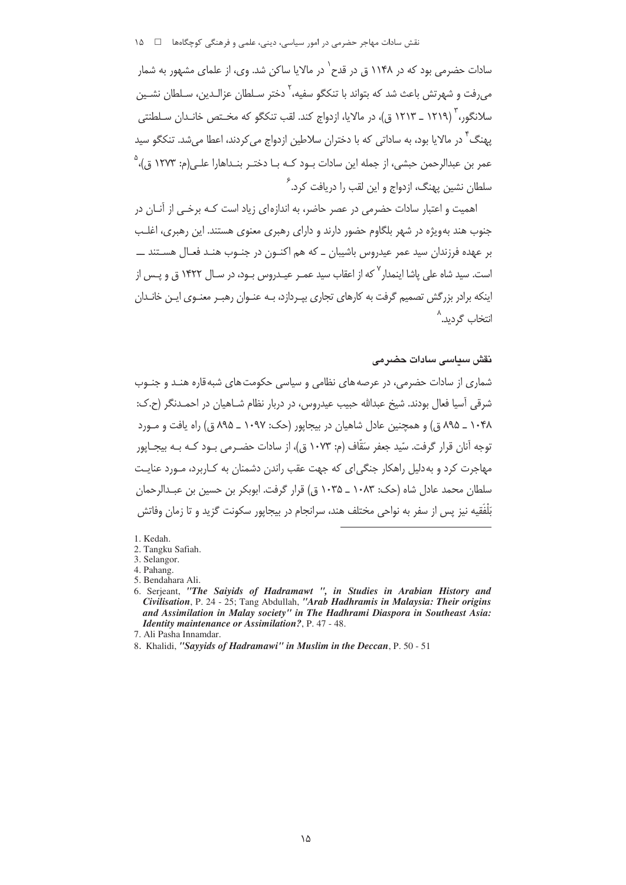نقش سادات مهاجر حضرمی در امور سیاسی، دینی، علمی و فرهنگی کوچگاهها ۔ □ ۱۵

سادات حضرمے ،بود که در ۱۱۴۸ ق در قدح<sup>۱</sup> در مالایا ساکن شد. وی، از علمای مشهور به شمار می دفت و شهرتش باعث شد که بتواند با تنکگو سفیه، ٰ دختر سـلطان عزالـدین، سـلطان نشــین سلانگور، ٔ (۱۲۱۹ \_ ۱۲۱۳ ق)، در مالایا، ازدواج کند. لقب تنکگو که مخــتص خانـدان سـلطنتي یهنگ ً در مالایا بود، به ساداتی که با دختران سلاطین ازدواج می کردند، اعطا می شد. تنکگو سید عمر بن عبدالرحمن حبشی، از جمله این سادات بـود کــه بــا دختــر بنــداهارا علــ<sub>، (</sub>م: ۱۲۷۳ ق.)، <sup>۵</sup> سلطان نشین پهنگ، ازدواج و این لقب را دریافت کرد.<sup>۶</sup>

اهمیت و اعتبار سادات حضرمی در عصر حاضر، به اندازهای زیاد است کـه برخـی از آنــان در جنوب هند بهویژه در شهر بلگاوم حضور دارند و دارای رهبری معنوی هستند. این رهبری، اغلب بر عهده فرزندان سید عمر عیدروس باشیبان ــ که هم اکنــون در جنــوب هنــد فعــال هســتند ـــــــــــــــــــــــ است. سید شاه علی یاشا اینمدار <sup>۷</sup> که از اعقاب سید عمـر عیـدروس بـود، در سـال ۱۴۲۲ ق و پـس از اینکه برادر بزرگش تصمیم گرفت به کارهای تجاری بیـردازد، بـه عنـوان رهبـر معنـوی ایـن خانـدان انتخاب گ1دید.<sup>^</sup>

نقش سداسی سادات حضرمی

شماری از سادات حضرمی، در عرصه های نظامی و سیاسی حکومت های شبه قاره هنـد و جنـوب شرقی اّسیا فعال بودند. شیخ عبدالله حبیب عیدروس، در دربار نظام شــاهیان در احمــدنگر (ح.ک: ۱۰۴۸ \_ ۸۹۵ ق) و همچنین عادل شاهیان در بیجاپور (حک: ۱۰۹۷ \_ ۸۹۵ ق) راه یافت و مـورد توجه آنان قرار گرفت. سّيد جعفر سَقّاف (م: ١٠٧٣ ق)، از سادات حضـرمے رود كـه بـه بيجـايور مهاجرت کرد و به دلیل راهکار جنگی ای که جهت عقب راندن دشمنان به کیاربرد، میورد عنایت سلطان محمد عادل شاه (حک: ۱۰۸۳ ـ ۱۰۳۵ ق) قرار گرفت. ابوبکر بن حسبن بن عبدالرحمان بَلْفَقيه نيز پس از سفر به نواحي مختلف هند، سرانجام در بيجايور سكونت گزيد و تا زمان وفاتش

- 5. Bendahara Ali.
- 6. Serjeant, "The Saiyids of Hadramawt ", in Studies in Arabian History and Civilisation, P. 24 - 25; Tang Abdullah, "Arab Hadhramis in Malaysia: Their origins and Assimilation in Malay society" in The Hadhrami Diaspora in Southeast Asia: **Identity maintenance or Assimilation?**, P. 47 - 48.

8. Khalidi, "Sayyids of Hadramawi" in Muslim in the Deccan, P. 50 - 51

<sup>1</sup> Kedah

<sup>2.</sup> Tangku Safiah.

<sup>3.</sup> Selangor.

<sup>4.</sup> Pahang.

<sup>7.</sup> Ali Pasha Innamdar.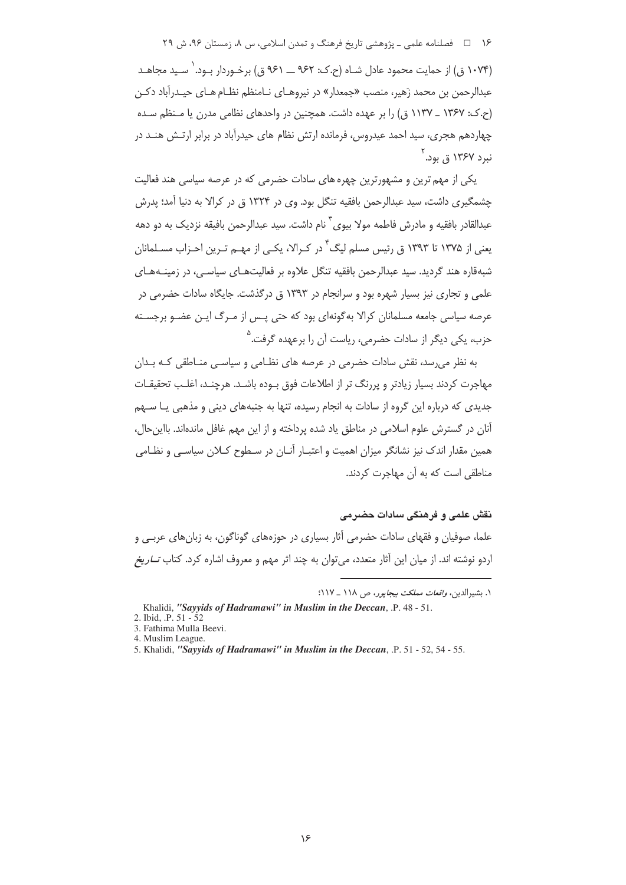۱۶ = فصلنامه علمي ـ پژوهشي تاريخ فرهنگ و تمدن اسلامي، س ٨، زمستان ٩۶، ش ٢٩

(۱۰۷۴ ق) از حمایت محمود عادل شـاه (ح.ک: ۹۶۲ ـــ ۹۶۱ ق) برخـوردار بـود. ٰ سـبد محاهـد عبدالرحمن بن محمد زَهير، منصب «جمعدار» در نيروهـاي نـامنظم نظـام هـاي حيـدرآباد دكـن (ح.ک: ۱۳۶۷ \_ ۱۱۳۷ ق) را بر عهده داشت. همچنین در واحدهای نظامی مدرن یا منظم سده چهاردهم هجری، سید احمد عیدروس، فرمانده ارتش نظام های حیدرآباد در برابر ارتـش هنــد در ندد ۱۳۶۷ ق. بود. <sup>۲</sup>

یکی از مهم ترین و مشهورترین چهره های سادات حضرمی که در عرصه سیاسی هند فعالیت چشمگیری داشت، سید عبدالرحمن بافقیه تنگل بود. وی در ۱۳۲۴ ق در کرالا به دنیا آمد؛ پدرش عبدالقادر بافقيه و مادرش فاطمه مولا بيوي ّ نام داشت. سيد عبدالرحمن بافيقه نزديک به دو دهه یعنی از ۱۳۷۵ تا ۱۳۹۳ ق رئیس مسلم لیگ<sup>۴</sup> در کـرالا، یکـی از مهـم تـرین احـزاب مسـلمانان شبهقاره هند گردید. سید عبدالرحمن بافقیه تنگل علاوه بر فعالیتهـای سیاسـی، در زمینـههـای علمی و تجاری نیز بسیار شهره بود و سرانجام در ۱۳۹۳ ق درگذشت. جایگاه سادات حضرمی در عرصه سیاسی جامعه مسلمانان کرالا به گونهای بود که حتی پـس از مـرگ ایـن عضـو برجسـته حزب، یکی دیگر از سادات حضرمی، ریاست آن را برعهده گرفت.<sup>۵</sup>

به نظر می رسد، نقش سادات حضرمی در عرصه های نظـامی و سیاسـی منـاطقی کـه بـدان مهاجرت کردند بسیار زیادتر و پررنگ تر از اطلاعات فوق بـوده باشـد. هرچنـد، اغلـب تحقیقـات جدیدی که درباره این گروه از سادات به انجام رسیده، تنها به جنبههای دینی و مذهبی یـا ســهم آنان در گسترش علوم اسلامی در مناطق یاد شده پرداخته و از این مهم غافل ماندهاند. بااین حال، همین مقدار اندک نیز نشانگر میزان اهمیت و اعتبـار آنـان در سـطوح کــلان سیاسـی و نظـامی مناطقی است که به آن مهاجرت کردند.

نقش علمی و فرهنگی سادات حضر می علما، صوفیان و فقهای سادات حضرمی آثار بسیاری در حوزههای گوناگون، به زبانهای عربـی و

اردو نوشته اند. از میان این آثار متعدد، میتوان به چند اثر مهم و معروف اشاره کرد. کتاب *تــاریخ* 

١. بشيرالدين، *واقعات مملكت بيجايور، ص ١١٨ \_ ١١٧*:

Khalidi, "Sayyids of Hadramawi" in Muslim in the Deccan, .P. 48 - 51.

<sup>2.</sup> Ibid.  $P. 51 - 52$ 

<sup>3.</sup> Fathima Mulla Beevi.

<sup>4.</sup> Muslim League.

<sup>5.</sup> Khalidi, "Sayyids of Hadramawi" in Muslim in the Deccan, .P. 51 - 52, 54 - 55.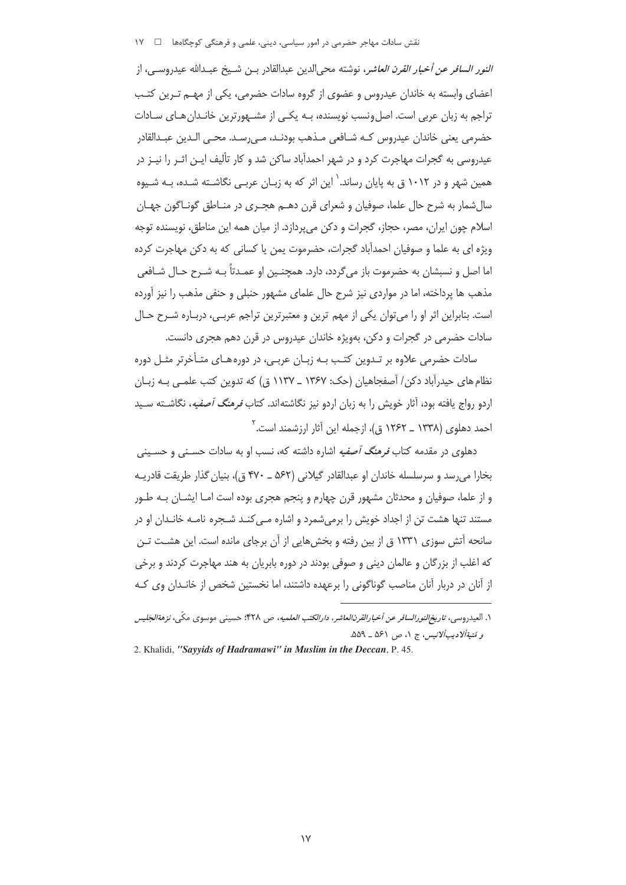### نقش سادات مهاجر حضرمی در امور سیاسی، دینی، علمی و فرهنگی کوچگاهها ⊥ ⊥ ۱۷

*النور السافر عن أخبار القرن العاشر*، نوشته محىالدين عبدالقادر بـن شـيخ عبـدالله عيدروسـي، از 'عضای وابسته به خاندان عیدروس و عضوی از گروه سادات حضرمی، یکی از مهـم تـرین کتـب نراجم به زبان عربی است. اصلونسب نویسنده، بــه یکــی از مشــهورترین خانــدانهـای ســادات ;6 - ; 1-\$ C5B 7] W\* @) {'.6 Q? |0 عیدروسی به گجرات مهاجرت کرد و در شهر احمدآباد ساکن شد و کار تألیف ایـن اثـر را نیـز در همین شهر و در ۱۰۱۲ ق به پایان رساند.<sup>\</sup> این اثر که به زبـان عربـی نگاشـته شـده، بــه شـیوه سال شمار به شرح حال علما، صوفيان و شعراي قرن دهــم هجـري در منــاطق گونــاگون جهــان 'سلام چون ایران، مصر، حجاز، گجرات و دکن میپردازد. از میان همه این مناطق، نویسنده توجه ویژه ای به علما و صوفیان احمدآباد گجرات، حضرموت یمن یا کسانی که به دکن مهاجرت کرده 'ما اصل و نسبشان به حضرموت باز میگردد، دارد. همچنـین او عمـدتاً بــه شـرح حـال شــافعی مذهب ها پرداخته، اما در مواردی نیز شرح حال علمای مشهور حنبلی و حنفی مذهب را نیز آورده است. بنابراین اثر او را میتوان یکی از مهم ترین و معتبرترین تراجم عربـی، دربـاره شــرح حـال سادات حضرمی در گجرات و دکن، بهویژه خاندان عیدروس در قرن دهم هجری دانست.

سادات حضرمی علاوه بر تـدوین کتـب بـه زبـان عربـی، در دورههـای متـأخرتر مثـل دوره نظام های حیدرآباد دکن/ آصفجاهیان (حک: ۱۳۶۷ ــ ۱۱۳۷ ق) که تدوین کتب علمـی بـه زبـان اردو رواج یافته بود، آثار خویش را به زبان اردو نیز نگاشتهاند. کتاب *فرهنگ آصفیه*، نگاشــته ســید احمد دهلوی (۱۳۳۸ ــ ۱۲۶۲ ق)، ازجمله این آثار ارزشمند است.<sup>۲</sup>

دهلوی در مقدمه کتاب *فرهنگ آصفیه* اشاره داشته که، نسب او به سادات حسـنی و حسـینی بخارا میرسد و سرسلسله خاندان او عبدالقادر گیلانی (۵۶۲ ـ ۴۷۰ ق)، بنیان گذار طریقت قادریـه و از علما، صوفیان و محدثان مشهور قرن چهارم و پنجم هجری بوده است امـا ایشــان بــه طــور مستند تنها هشت تن از اجداد خویش را برمیشمرد و اشاره مـیکنـد شـجره نامـه خانـدان او در سانحه آتش سوزی ۱۳۳۱ ق از بین رفته و بخشهایی از آن برجای مانده است. این هشــت تــن که اغلب از بزرگان و عالمان دینی و صوفی بودند در دوره بابریان به هند مهاجرت کردند و برخی از آنان در دربار آنان مناصب گوناگونی را برعهده داشتند، اما نخستین شخص از خانـدان وی کـه

**۱.** العيدروسي، *تاريخ النور السافر عن أخبار القرن العاشر، دار الكتب العلميه، ص ۴۲۸؛ حسيني موسوى مكّى، نز<i>هة الجَليس* و ت*َننيةألاديبألانيس،* ج ۱، ص ۵۶۱ ــ ۵۵۹.

<sup>2.</sup> Khalidi, *"Sayyids of Hadramawi" in Muslim in the Deccan*, P. 45.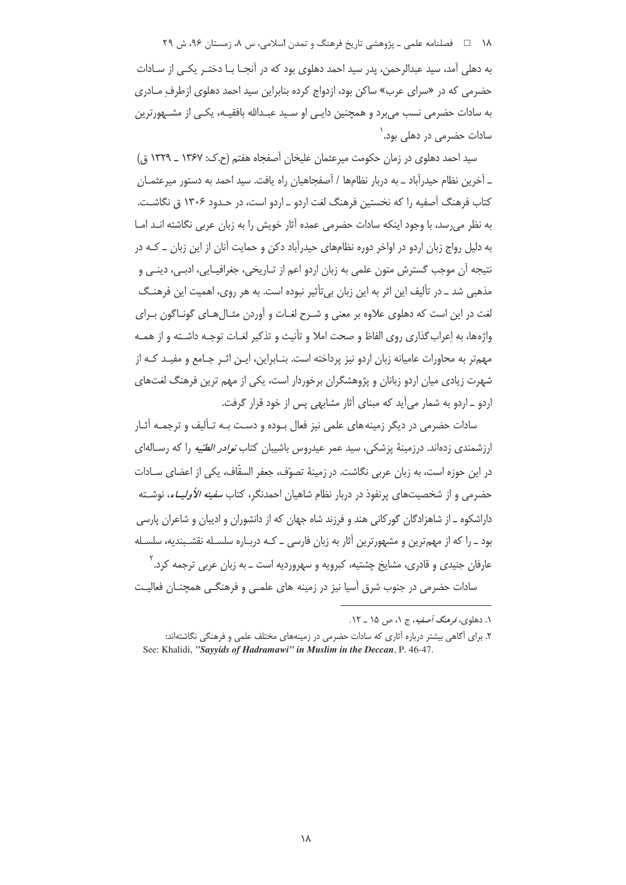۱۸ = = فصلنامه علمی ـ یژوهشی تاریخ فرهنگ و تمدن اسلامی، س ۸، زمستان ۹۶، ش ۲۹

به دهلی آمد، سید عبدالرحمن، پدر سید احمد دهلوی بود که در آنجــا بــا دختــر یکــی از ســادات حضرمی که در «سرای عرب» ساکن بود، ازدواج کرده بنابراین سید احمد دهلوی ازطرف مـادری به سادات حضرمی نسب می برد و همچنین دایـی او سـید عبـدالله بافقیـه، یکـی از مشــهورترین سادات حضرمے ر در دھلے ، ہود. <sup>(</sup>

سيد احمد دهلوي در زمان حكومت ميرعثمان عليخان آصفحاه هفتم (ح.ک: ١٣۶٧ ـ ١٣٢٩ ق) ـ آخرین نظام حیدرآباد ــ به دربار نظامها / آصفحاهیان راه یافت. سید احمد به دستور میرعثمــان کتاب فرهنگ آصفیه را که نخستین فرهنگ لغت اردو \_اردو است، در حـدود ۱۳۰۶ ق نگاشـت. به نظر می رسد، با وجود اینکه سادات حضرمی عمده آثار خویش را به زبان عربی نگاشته انـد امـا به دلیل رواج زبان اردو در اواخر دوره نظامهای حیدرآباد دکن و حمایت آنان از این زبان ــ کــه در نتیجه أن موجب گسترش متون علمی به زبان اردو اعم از تـاریخی، جغرافیـایی، ادبـی، دینـی و مذهبي شد ـ در تأليف اين اثر به اين زبان بي¤أثير نبوده است. به هر روي، اهميت اين فرهنـگ لغت در این است که دهلوی علاوه بر معنی و شـرح لغـات و آوردن مثـال۱هـای گونـاگون بـرای واژهها، به إعراب گذاري روي الفاظ و صحت املا و تأنيث و تذكير لغـات توجـه داشـته و از همـه مهمتر به محاورات عامیانه زبان اردو نیز پرداخته است. بنـابراین، ایـن اثـر جـامع و مفیـد کـه از شهرت زیادی میان اردو زبانان و پژوهشگران برخوردار است، یکی از مهم ترین فرهنگ لغتهای اردو ـ اردو به شمار می آید که مبنای آثار مشابهی پس از خود قرار گرفت.

سادات حضرمی در دیگر زمینه های علمی نیز فعال بـوده و دسـت بـه تـألیف و ترجمـه آثـار ارزشمندی زدهاند. درزمینهٔ یزشکی، سید عمر عیدروس باشیبان کتاب *نوادر الطبّیه* را که رسـالهای در این جوزه است، به زبان عربی نگاشت. در زمینهٔ تصوّف، جعفر السقّاف، یکی از اعضای سـادات حضرمی و از شخصیتهای پرنفوذ در دربار نظام شاهیان احمدنگر، کتاب *سفینه الأولیــاء*، نوشــته داراشکوه ــ از شاهزادگان گورکانی هند و فرزند شاه جهان که از دانشوران و ادیبان و شاعران پارسی بود ـ را که از مهمترین و مشهورترین آثار به زبان فارسی ــ کـه دربـاره سلسـله نقشـبندیه، سلسـله عارفان جني*دي* و قادري، مشايخ چشتيه، کبرويه و سهرورديه است ــ به زبان عربي ترجمه کرد.<sup>۲</sup> سادات حضرمی در جنوب شرق آسیا نیز در زمینه های علمـی و فرهنگـی همچنـان فعالیـت

١. دهلوي، قرمنگ آصفيه، ج ١، ص ١۵ \_ ١٢.

۲. برای آگاهی بیشتر درباره آثاری که سادات حضرمی در زمینههای مختلف علمی و فرهنگی نگاشتهاند: See: Khalidi, "Sayyids of Hadramawi" in Muslim in the Deccan, P. 46-47.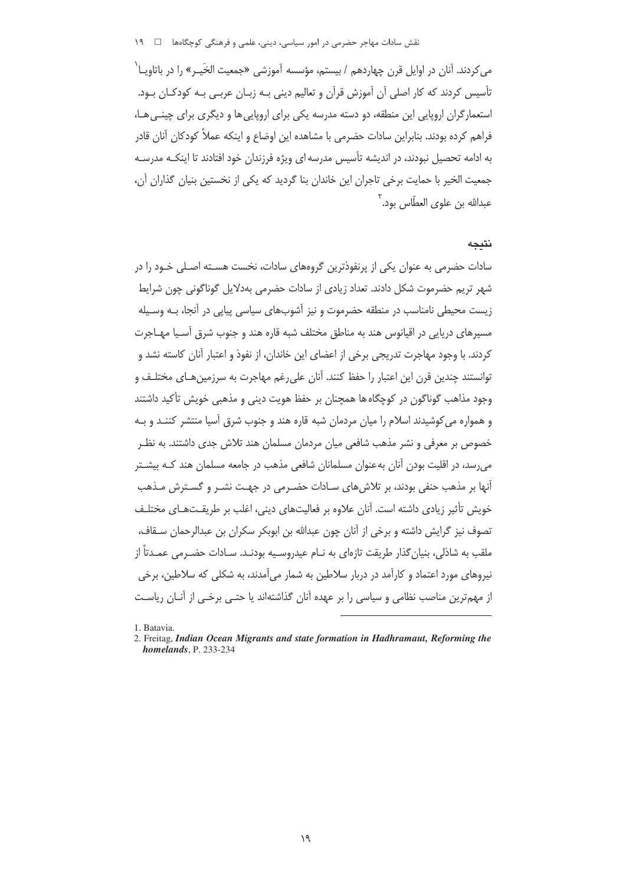مے کردند. آنان در اوایل قرن چھاردھم / بیستم، مؤسسه آموزشے «جمعیت الخَبے» را در باتاویــا` تأسیس کردند که کار اصلی آن آموزش قرآن و تعالیم دینی بـه زبـان عربـی بـه کودکـان بـود. استعمارگران اروپایی این منطقه، دو دسته مدرسه یکی برای اروپایی ها و دیگری برای چینبی هـا، فراهم كرده بودند. بنابراين سادات حضرمي با مشاهده اين اوضاع و اينكه عملاً كودكان آنان قادر به ادامه تحصیل نبودند، در اندیشه تأسیس مدرسه ای ویژه فرزندان خود افتادند تا اینکـه مدرسـه جمعیت الخیر با حمایت برخی تاجران این خاندان بنا گردید که یکی از نخستین بنیان گذاران آن، عبدالله بن علوي العطّاس بود.<sup>۲</sup>

### نتىجە

سادات حضرمی به عنوان یکی از پرنفوذترین گروههای سادات، نخست هسـته اصـلی خـود را در شهر تریم حضرموت شکل دادند. تعداد زیادی از سادات حضرمی بهدلایل گوناگونی چون شرایط زیست محیطی نامناسب در منطقه حضرموت و نیز آشوبهای سیاسی پیایی در آنجا، بـه وسـیله مسیرهای دریایی در اقیانوس هند به مناطق مختلف شبه قاره هند و جنوب شرق آسـیا مهـاجرت كردند. با وجود مهاجرت تدريجي برخي از اعضاي اين خاندان، از نفوذ و اعتبار آنان كاسته نشد و توانستند چندین قرن این اعتبار را حفظ کنند. آنان علی رغم مهاجرت به سرزمین هـای مختلـف و وجود مذاهب گوناگون در کوچگاه ها همچنان بر حفظ هویت دینی و مذهبی خویش تأکید داشتند و همواره می کوشیدند اسلام را میان مردمان شبه قاره هند و چنوب شرق آسیا منتشر کننـد و پـه خصوص بر معرفی و نشر مذهب شافعی میان مردمان مسلمان هند تلاش جدی داشتند. به نظـر می رسد، در اقلیت بودن آنان به عنوان مسلمانان شافعی مذهب در جامعه مسلمان هند کـه بیشـتر آنها بر مذهب حنفی بودند، بر تلاش های سـادات حضـرمی در جهـت نشـر و گسـترش مـذهب خویش تأثیر زیادی داشته است. آنان علاوه بر فعالیتهای دینی، اغلب بر طریقتهای مختلـف تصوف نيز گرايش داشته و برخي از آنان چون عبدالله بن ابوبكر سكران بن عبدالرحمان سـقاف، ملقب به شاذلي، بنيان گذار طريقت تازهاي به نــام عيدروسـيه بودنــد. ســادات حضــرمي عمــدتاً از نیروهای مورد اعتماد و کارآمد در دربار سلاطین به شمار میآمدند، به شکلی که سلاطین، برخی از مهمترین مناصب نظامی و سیاسی را بر عهده آنان گذاشتهاند یا حتـی برخـی از آنــان ریاسـت

1. Batavia.

<sup>2.</sup> Freitag, Indian Ocean Migrants and state formation in Hadhramaut, Reforming the homelands, P. 233-234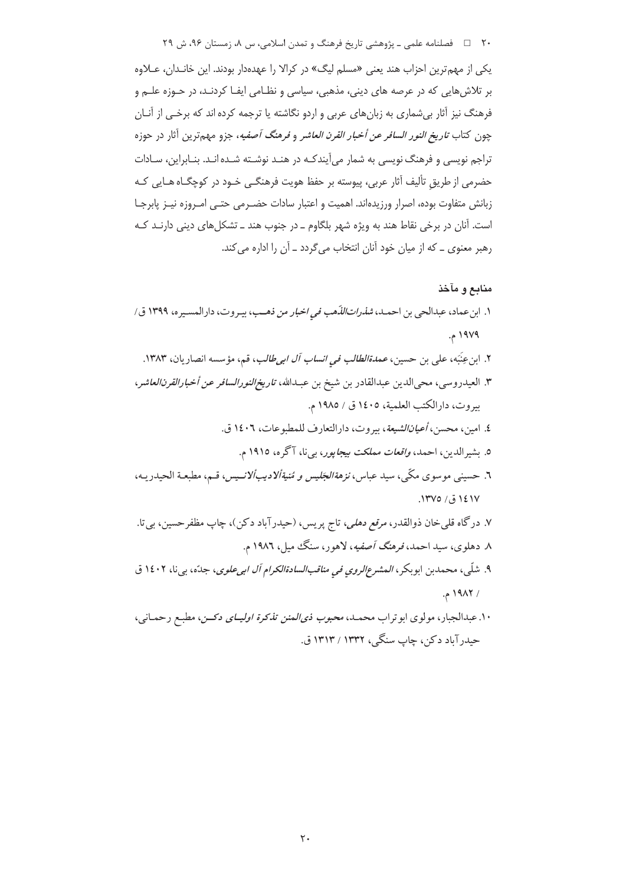۲۰٪ ه اسلامی، مع اسی دو از بیت اسلامی و تمدن اسلامی و مستان ۹۶، ش ۲۹

یکی از مهم ترین احزاب هند یعنی «مسلم لیگ» در کرالا را عهدهدار بودند. این خانـدان، عـلاوه بر تلاشهایی که در عرصه های دینی، مذهبی، سیاسی و نظـامی ایفـا کردنـد، در حـوزه علـم و فرهنگ نیز آثار بیشماری به زبانهای عربی و اردو نگاشته یا ترجمه کرده اند که برخی از آنـان چون كتاب *تاريخ النور السافر عن أخبار القرن العاشر* و *فرهنگ آصفيه*، جزو مهم ترين آثار در حوزه تراجم نویسی و فرهنگ نویسی به شمار میآیندکـه در هنـد نوشـته شـده انـد. بنـابراین، سـادات حضرمی از طریق تألیف آثار عربی، پیوسته بر حفظ هویت فرهنگے خـود در کوچگــاه هــایی کـه زبانش متفاوت بوده، اصرار ورزيدهاند. اهميت و اعتبار سادات حضـرمي حتـى امـروزه نيـز پابرجـا است. آنان در برخی نقاط هند به ویژه شهر بلگاوم \_ در جنوب هند \_ تشکلهای دینی دارنـد کـه رهبر معنوی ــ که از میان خود آنان انتخاب می گردد ــ آن را اداره می کند.

## منابع و مآخذ

- ١. ابن عماد، عبدالحي بن احمـد، *شذراتاللذّهب في اخبار من ذهـب*، بيـروت، دارالمسـيره، ١٣٩٩ ق/ ۱۹۷۹ م.
	- ۲. ابن عِنَبَه، على بن حسين، *عمدةالطالب في انساب آل اب<sub>ح</sub>طالب*، قم، مؤسسه انصاريان، ۱۳۸۳.
- ٣. العيدروسي، محي|لدين عبدالقادر بن شيخ بن عبـدالله، ت*اريخ/لنورالسافر عن أخبارالقرن/لعاشر*، بيروت، دارالكتب العلمية، ١٤٠٥ ق / ١٩٨٥ م.
	- ٤. امين، محسن، *أعيانالشيعة*، بيروت، دارالتعارف للمطبوعات، ١٤٠٦ ق.
		- ٥. بشيرالدين، احمد، *واقعات مملكت بيجايور*، بي نا، آگره، ١٩١٥ م.
- ٦. حسيني موسوى مكّى، سيد عباس، *نزهةالجَليس و مُنيةألاديبألانـيس*، قـم، مطبعـة الحيدريـه،  $.1$ ۳۷٥ (ق) ( $.1$ ۳۷٥)
- ۷. درگاه قلبيخان ذوالقدر، *مرقع دهلي*، تاج پريس، (حيدرآباد دکن)، چاپ مظفرحسين، بي¤. ۸. دهلوی، سید احمد، فر*هنگ آصفیه*، لاهور، سنگ میل، ۱۹۸۲ م.
- ۹. شلّی، محمدبن ابوبکر، *المشرع الروی فی مناقب السادة الکرام آل ابی علوی*، جدّه، بی نا، ۱٤۰۲ ق / ١٩٨٢م.
- ۱۰. عبدالجبار، مولوي ابوتراب محمـد، *محبوب ذي المنن تذكرة اوليـــاي دكـــن*، مطبـع رحمــاني، حیدرآباد دکن، چاپ سنگی، ۱۳۳۲ / ۱۳۱۳ ق.